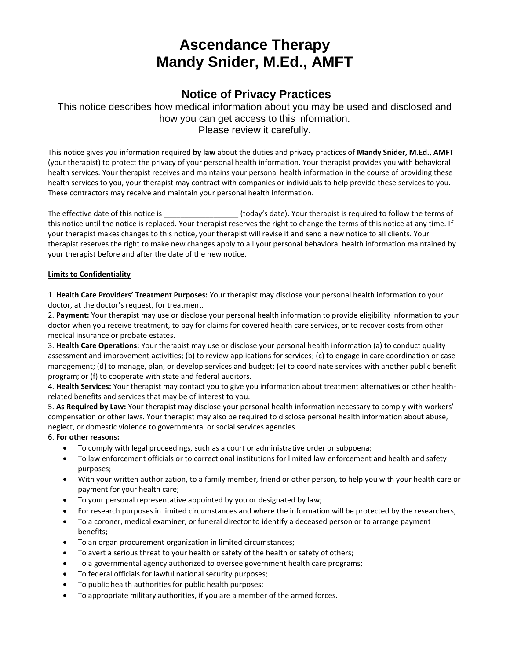# **Ascendance Therapy Mandy Snider, M.Ed., AMFT**

### **Notice of Privacy Practices**

This notice describes how medical information about you may be used and disclosed and how you can get access to this information. Please review it carefully.

This notice gives you information required **by law** about the duties and privacy practices of **Mandy Snider, M.Ed., AMFT** (your therapist) to protect the privacy of your personal health information. Your therapist provides you with behavioral health services. Your therapist receives and maintains your personal health information in the course of providing these health services to you, your therapist may contract with companies or individuals to help provide these services to you. These contractors may receive and maintain your personal health information.

The effective date of this notice is equively is the terms of today's date). Your therapist is required to follow the terms of this notice until the notice is replaced. Your therapist reserves the right to change the terms of this notice at any time. If your therapist makes changes to this notice, your therapist will revise it and send a new notice to all clients. Your therapist reserves the right to make new changes apply to all your personal behavioral health information maintained by your therapist before and after the date of the new notice.

#### **Limits to Confidentiality**

1. **Health Care Providers' Treatment Purposes:** Your therapist may disclose your personal health information to your doctor, at the doctor's request, for treatment.

2. **Payment:** Your therapist may use or disclose your personal health information to provide eligibility information to your doctor when you receive treatment, to pay for claims for covered health care services, or to recover costs from other medical insurance or probate estates.

3. **Health Care Operations:** Your therapist may use or disclose your personal health information (a) to conduct quality assessment and improvement activities; (b) to review applications for services; (c) to engage in care coordination or case management; (d) to manage, plan, or develop services and budget; (e) to coordinate services with another public benefit program; or (f) to cooperate with state and federal auditors.

4. **Health Services:** Your therapist may contact you to give you information about treatment alternatives or other healthrelated benefits and services that may be of interest to you.

5. **As Required by Law:** Your therapist may disclose your personal health information necessary to comply with workers' compensation or other laws. Your therapist may also be required to disclose personal health information about abuse, neglect, or domestic violence to governmental or social services agencies.

#### 6. **For other reasons:**

- To comply with legal proceedings, such as a court or administrative order or subpoena;
- To law enforcement officials or to correctional institutions for limited law enforcement and health and safety purposes;
- With your written authorization, to a family member, friend or other person, to help you with your health care or payment for your health care;
- To your personal representative appointed by you or designated by law;
- For research purposes in limited circumstances and where the information will be protected by the researchers;
- To a coroner, medical examiner, or funeral director to identify a deceased person or to arrange payment benefits;
- To an organ procurement organization in limited circumstances;
- To avert a serious threat to your health or safety of the health or safety of others;
- To a governmental agency authorized to oversee government health care programs;
- To federal officials for lawful national security purposes;
- To public health authorities for public health purposes;
- To appropriate military authorities, if you are a member of the armed forces.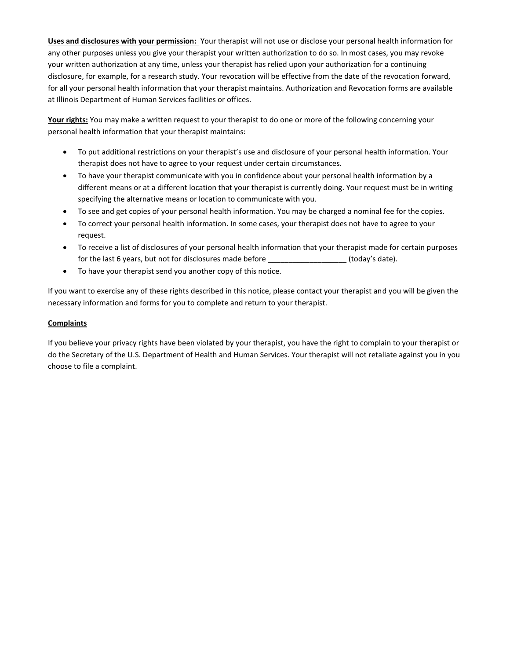**Uses and disclosures with your permission:** Your therapist will not use or disclose your personal health information for any other purposes unless you give your therapist your written authorization to do so. In most cases, you may revoke your written authorization at any time, unless your therapist has relied upon your authorization for a continuing disclosure, for example, for a research study. Your revocation will be effective from the date of the revocation forward, for all your personal health information that your therapist maintains. Authorization and Revocation forms are available at Illinois Department of Human Services facilities or offices.

**Your rights:** You may make a written request to your therapist to do one or more of the following concerning your personal health information that your therapist maintains:

- To put additional restrictions on your therapist's use and disclosure of your personal health information. Your therapist does not have to agree to your request under certain circumstances.
- To have your therapist communicate with you in confidence about your personal health information by a different means or at a different location that your therapist is currently doing. Your request must be in writing specifying the alternative means or location to communicate with you.
- To see and get copies of your personal health information. You may be charged a nominal fee for the copies.
- To correct your personal health information. In some cases, your therapist does not have to agree to your request.
- To receive a list of disclosures of your personal health information that your therapist made for certain purposes for the last 6 years, but not for disclosures made before  $($ today's date).
- To have your therapist send you another copy of this notice.

If you want to exercise any of these rights described in this notice, please contact your therapist and you will be given the necessary information and forms for you to complete and return to your therapist.

#### **Complaints**

If you believe your privacy rights have been violated by your therapist, you have the right to complain to your therapist or do the Secretary of the U.S. Department of Health and Human Services. Your therapist will not retaliate against you in you choose to file a complaint.